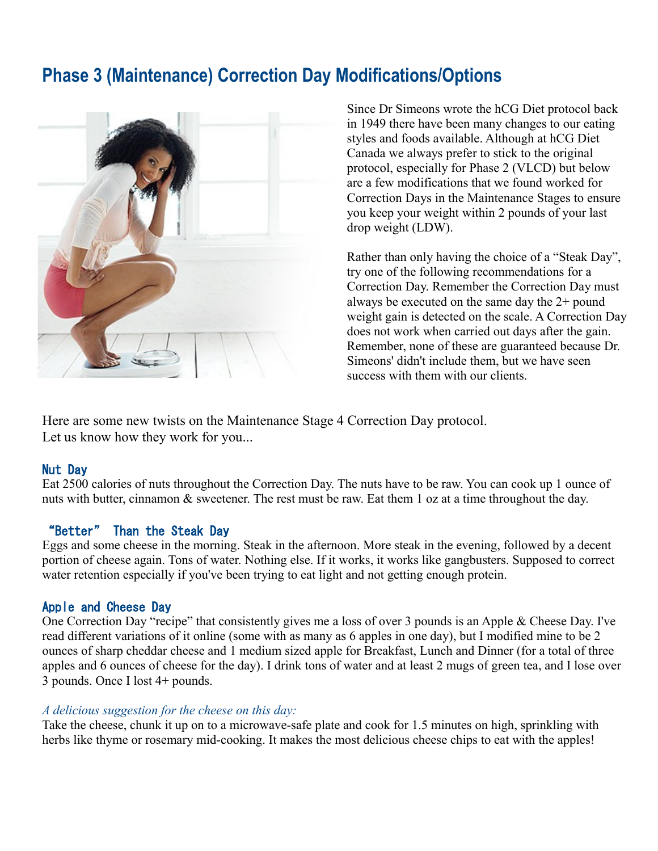# **Phase 3 (Maintenance) Correction Day Modifications/Options**



Since Dr Simeons wrote the hCG Diet protocol back in 1949 there have been many changes to our eating styles and foods available. Although at hCG Diet Canada we always prefer to stick to the original protocol, especially for Phase 2 (VLCD) but below are a few modifications that we found worked for Correction Days in the Maintenance Stages to ensure you keep your weight within 2 pounds of your last drop weight (LDW).

Rather than only having the choice of a "Steak Day", try one of the following recommendations for a Correction Day. Remember the Correction Day must always be executed on the same day the 2+ pound weight gain is detected on the scale. A Correction Day does not work when carried out days after the gain. Remember, none of these are guaranteed because Dr. Simeons' didn't include them, but we have seen success with them with our clients.

Here are some new twists on the Maintenance Stage 4 Correction Day protocol. Let us know how they work for you...

#### Nut Day

Eat 2500 calories of nuts throughout the Correction Day. The nuts have to be raw. You can cook up 1 ounce of nuts with butter, cinnamon & sweetener. The rest must be raw. Eat them 1 oz at a time throughout the day.

#### "Better" Than the Steak Day

Eggs and some cheese in the morning. Steak in the afternoon. More steak in the evening, followed by a decent portion of cheese again. Tons of water. Nothing else. If it works, it works like gangbusters. Supposed to correct water retention especially if you've been trying to eat light and not getting enough protein.

#### Apple and Cheese Day

One Correction Day "recipe" that consistently gives me a loss of over 3 pounds is an Apple & Cheese Day. I've read different variations of it online (some with as many as 6 apples in one day), but I modified mine to be 2 ounces of sharp cheddar cheese and 1 medium sized apple for Breakfast, Lunch and Dinner (for a total of three apples and 6 ounces of cheese for the day). I drink tons of water and at least 2 mugs of green tea, and I lose over 3 pounds. Once I lost 4+ pounds.

#### *A delicious suggestion for the cheese on this day:*

Take the cheese, chunk it up on to a microwave-safe plate and cook for 1.5 minutes on high, sprinkling with herbs like thyme or rosemary mid-cooking. It makes the most delicious cheese chips to eat with the apples!